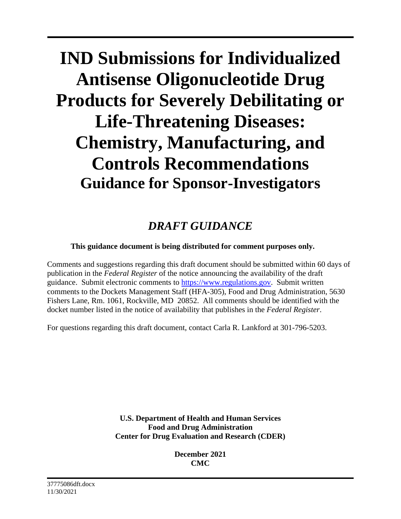# **IND Submissions for Individualized Antisense Oligonucleotide Drug Products for Severely Debilitating or Life-Threatening Diseases: Chemistry, Manufacturing, and Controls Recommendations Guidance for Sponsor-Investigators**

## *DRAFT GUIDANCE*

#### **This guidance document is being distributed for comment purposes only.**

Comments and suggestions regarding this draft document should be submitted within 60 days of publication in the *Federal Register* of the notice announcing the availability of the draft guidance. Submit electronic comments to [https://www.regulations.gov.](https://www.regulations.gov/) Submit written comments to the Dockets Management Staff (HFA-305), Food and Drug Administration, 5630 Fishers Lane, Rm. 1061, Rockville, MD 20852. All comments should be identified with the docket number listed in the notice of availability that publishes in the *Federal Register*.

For questions regarding this draft document, contact Carla R. Lankford at 301-796-5203.

**U.S. Department of Health and Human Services Food and Drug Administration Center for Drug Evaluation and Research (CDER)**

> **December 2021 CMC**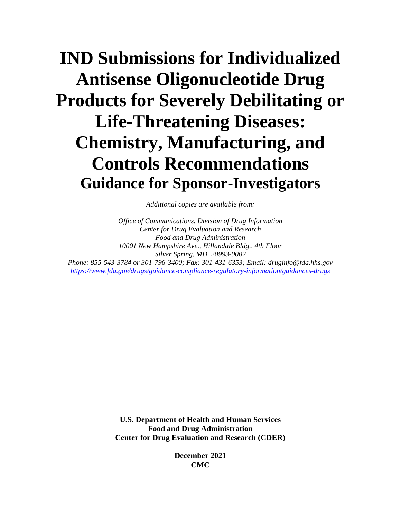## **IND Submissions for Individualized Antisense Oligonucleotide Drug Products for Severely Debilitating or Life-Threatening Diseases: Chemistry, Manufacturing, and Controls Recommendations Guidance for Sponsor-Investigators**

*Additional copies are available from:*

*Office of Communications, Division of Drug Information Center for Drug Evaluation and Research Food and Drug Administration 10001 New Hampshire Ave., Hillandale Bldg., 4th Floor Silver Spring, MD 20993-0002 Phone: 855-543-3784 or 301-796-3400; Fax: 301-431-6353; Email: druginfo@fda.hhs.gov <https://www.fda.gov/drugs/guidance-compliance-regulatory-information/guidances-drugs>*

> **U.S. Department of Health and Human Services Food and Drug Administration Center for Drug Evaluation and Research (CDER)**

> > **December 2021 CMC**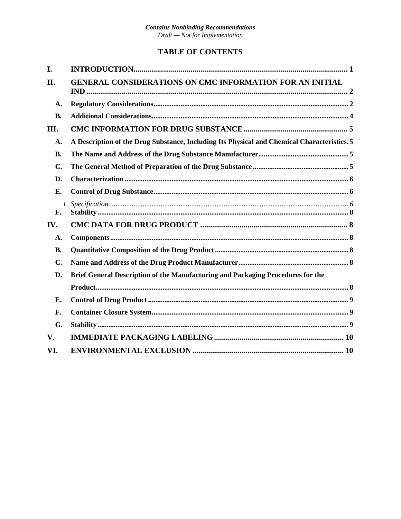#### **TABLE OF CONTENTS**

| I.                                                                                    |                                                                                             |  |
|---------------------------------------------------------------------------------------|---------------------------------------------------------------------------------------------|--|
| II.                                                                                   | <b>GENERAL CONSIDERATIONS ON CMC INFORMATION FOR AN INITIAL</b>                             |  |
| A.                                                                                    |                                                                                             |  |
| <b>B.</b>                                                                             |                                                                                             |  |
| Ш.                                                                                    |                                                                                             |  |
| A.                                                                                    | A Description of the Drug Substance, Including Its Physical and Chemical Characteristics. 5 |  |
| <b>B.</b>                                                                             |                                                                                             |  |
| $\mathbf{C}$ .                                                                        |                                                                                             |  |
| D.                                                                                    |                                                                                             |  |
| Е.                                                                                    |                                                                                             |  |
| F.                                                                                    |                                                                                             |  |
| IV.                                                                                   |                                                                                             |  |
| A.                                                                                    |                                                                                             |  |
| <b>B.</b>                                                                             |                                                                                             |  |
| $\mathbf{C}$ .                                                                        |                                                                                             |  |
| Brief General Description of the Manufacturing and Packaging Procedures for the<br>D. |                                                                                             |  |
|                                                                                       |                                                                                             |  |
| Е.                                                                                    |                                                                                             |  |
| F.                                                                                    |                                                                                             |  |
| G.                                                                                    |                                                                                             |  |
| V.                                                                                    |                                                                                             |  |
| VI.                                                                                   |                                                                                             |  |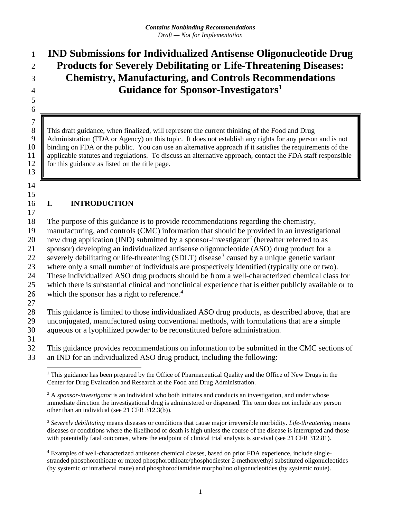## **IND Submissions for Individualized Antisense Oligonucleotide Drug Products for Severely Debilitating or Life-Threatening Diseases: Chemistry, Manufacturing, and Controls Recommendations Guidance for Sponsor-Investigators[1](#page-3-0)**

 This draft guidance, when finalized, will represent the current thinking of the Food and Drug 9 Administration (FDA or Agency) on this topic. It does not establish any rights for any person and is not 10 binding on FDA or the public. You can use an alternative approach if it satisfies the requirements of the 10 binding on FDA or the public. You can use an alternative approach if it satisfies the requirements of the applicable statutes and regulations. To discuss an alternative approach, contact the FDA staff responsible 11 applicable statutes and regulations. To discuss an alternative approach, contact the FDA staff responsible 12 for this guidance as listed on the title page. for this guidance as listed on the title page.

#### 

 $\begin{array}{c} 7 \\ 8 \end{array}$ 

#### **I. INTRODUCTION**

The purpose of this guidance is to provide recommendations regarding the chemistry,

manufacturing, and controls (CMC) information that should be provided in an investigational

0 new drug application (IND) submitted by a sponsor-investigator<sup>2</sup> (hereafter referred to as

sponsor) developing an individualized antisense oligonucleotide (ASO) drug product for a

22 severely debilitating or life-threatening (SDLT) disease<sup>[3](#page-3-2)</sup> caused by a unique genetic variant

where only a small number of individuals are prospectively identified (typically one or two).

These individualized ASO drug products should be from a well-characterized chemical class for

 which there is substantial clinical and nonclinical experience that is either publicly available or to 26 which the sponsor has a right to reference. $4$ 

This guidance is limited to those individualized ASO drug products, as described above, that are

 unconjugated, manufactured using conventional methods, with formulations that are a simple aqueous or a lyophilized powder to be reconstituted before administration.

<span id="page-3-0"></span> This guidance provides recommendations on information to be submitted in the CMC sections of an IND for an individualized ASO drug product, including the following:

<span id="page-3-1"></span><sup>2</sup> A *sponsor-investigator* is an individual who both initiates and conducts an investigation, and under whose immediate direction the investigational drug is administered or dispensed. The term does not include any person other than an individual (see 21 CFR 312.3(b)).

<span id="page-3-2"></span> *Severely debilitating* means diseases or conditions that cause major irreversible morbidity. *Life-threatening* means diseases or conditions where the likelihood of death is high unless the course of the disease is interrupted and those with potentially fatal outcomes, where the endpoint of clinical trial analysis is survival (see 21 CFR 312.81).

<span id="page-3-3"></span> Examples of well-characterized antisense chemical classes, based on prior FDA experience, include singlestranded phosphorothioate or mixed phosphorothioate/phosphodiester 2-methoxyethyl substituted oligonucleotides (by systemic or intrathecal route) and phosphorodiamidate morpholino oligonucleotides (by systemic route).

 This guidance has been prepared by the Office of Pharmaceutical Quality and the Office of New Drugs in the Center for Drug Evaluation and Research at the Food and Drug Administration.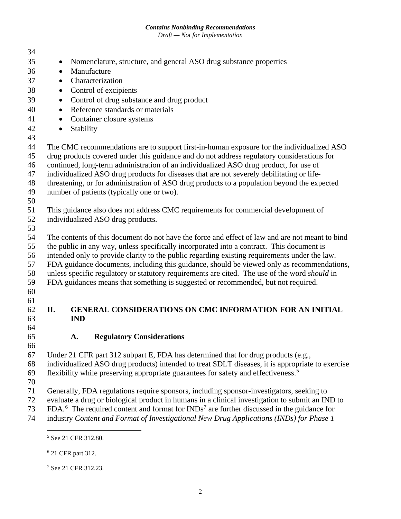#### *Contains Nonbinding Recommendations*

*Draft — Not for Implementation*

| 34 |                                                                                                         |  |  |  |
|----|---------------------------------------------------------------------------------------------------------|--|--|--|
| 35 | Nomenclature, structure, and general ASO drug substance properties<br>$\bullet$                         |  |  |  |
| 36 | Manufacture<br>$\bullet$                                                                                |  |  |  |
| 37 | Characterization                                                                                        |  |  |  |
| 38 | $\bullet$                                                                                               |  |  |  |
|    | Control of excipients<br>$\bullet$                                                                      |  |  |  |
| 39 | Control of drug substance and drug product<br>$\bullet$                                                 |  |  |  |
| 40 | Reference standards or materials<br>$\bullet$                                                           |  |  |  |
| 41 | Container closure systems<br>$\bullet$                                                                  |  |  |  |
| 42 | Stability<br>$\bullet$                                                                                  |  |  |  |
| 43 |                                                                                                         |  |  |  |
| 44 | The CMC recommendations are to support first-in-human exposure for the individualized ASO               |  |  |  |
| 45 | drug products covered under this guidance and do not address regulatory considerations for              |  |  |  |
| 46 | continued, long-term administration of an individualized ASO drug product, for use of                   |  |  |  |
| 47 | individualized ASO drug products for diseases that are not severely debilitating or life-               |  |  |  |
| 48 | threatening, or for administration of ASO drug products to a population beyond the expected             |  |  |  |
| 49 | number of patients (typically one or two).                                                              |  |  |  |
| 50 |                                                                                                         |  |  |  |
| 51 | This guidance also does not address CMC requirements for commercial development of                      |  |  |  |
| 52 | individualized ASO drug products.                                                                       |  |  |  |
| 53 |                                                                                                         |  |  |  |
| 54 | The contents of this document do not have the force and effect of law and are not meant to bind         |  |  |  |
| 55 | the public in any way, unless specifically incorporated into a contract. This document is               |  |  |  |
| 56 | intended only to provide clarity to the public regarding existing requirements under the law.           |  |  |  |
| 57 | FDA guidance documents, including this guidance, should be viewed only as recommendations,              |  |  |  |
| 58 | unless specific regulatory or statutory requirements are cited. The use of the word <i>should</i> in    |  |  |  |
| 59 | FDA guidances means that something is suggested or recommended, but not required.                       |  |  |  |
| 60 |                                                                                                         |  |  |  |
| 61 |                                                                                                         |  |  |  |
| 62 | GENERAL CONSIDERATIONS ON CMC INFORMATION FOR AN INITIAL<br>II.                                         |  |  |  |
| 63 | <b>IND</b>                                                                                              |  |  |  |
| 64 |                                                                                                         |  |  |  |
| 65 | <b>Regulatory Considerations</b><br>A.                                                                  |  |  |  |
| 66 |                                                                                                         |  |  |  |
| 67 | Under 21 CFR part 312 subpart E, FDA has determined that for drug products (e.g.,                       |  |  |  |
| 68 | individualized ASO drug products) intended to treat SDLT diseases, it is appropriate to exercise        |  |  |  |
| 69 | flexibility while preserving appropriate guarantees for safety and effectiveness. <sup>5</sup>          |  |  |  |
| 70 |                                                                                                         |  |  |  |
| 71 | Generally, FDA regulations require sponsors, including sponsor-investigators, seeking to                |  |  |  |
| 72 | evaluate a drug or biological product in humans in a clinical investigation to submit an IND to         |  |  |  |
| 73 | FDA. <sup>6</sup> The required content and format for $INDs7$ are further discussed in the guidance for |  |  |  |

<span id="page-4-1"></span><span id="page-4-0"></span>industry *Content and Format of Investigational New Drug Applications (INDs) for Phase 1* 

See 21 CFR 312.80.

21 CFR part 312.

<span id="page-4-2"></span>See 21 CFR 312.23.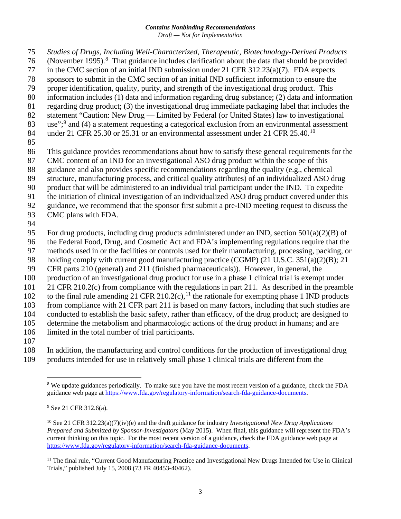- *Studies of Drugs, Including Well-Characterized, Therapeutic, Biotechnology-Derived Products*  76 (November 1995).<sup>[8](#page-5-0)</sup> That guidance includes clarification about the data that should be provided in the CMC section of an initial IND submission under 21 CFR 312.23(a)(7). FDA expects sponsors to submit in the CMC section of an initial IND sufficient information to ensure the proper identification, quality, purity, and strength of the investigational drug product. This information includes (1) data and information regarding drug substance; (2) data and information regarding drug product; (3) the investigational drug immediate packaging label that includes the statement "Caution: New Drug — Limited by Federal (or United States) law to investigational 83 use"; $\degree$  and (4) a statement requesting a categorical exclusion from an environmental assessment 84 under 21 CFR 25.30 or 25.31 or an environmental assessment under 21 CFR 25.40.<sup>[10](#page-5-2)</sup> This guidance provides recommendations about how to satisfy these general requirements for the CMC content of an IND for an investigational ASO drug product within the scope of this guidance and also provides specific recommendations regarding the quality (e.g., chemical structure, manufacturing process, and critical quality attributes) of an individualized ASO drug product that will be administered to an individual trial participant under the IND. To expedite the initiation of clinical investigation of an individualized ASO drug product covered under this
- guidance, we recommend that the sponsor first submit a pre-IND meeting request to discuss the
- CMC plans with FDA.
- 
- 95 For drug products, including drug products administered under an IND, section  $501(a)(2)(B)$  of
- the Federal Food, Drug, and Cosmetic Act and FDA's implementing regulations require that the
- methods used in or the facilities or controls used for their manufacturing, processing, packing, or
- holding comply with current good manufacturing practice (CGMP) (21 U.S.C. 351(a)(2)(B); 21
- CFR parts 210 (general) and 211 (finished pharmaceuticals)). However, in general, the
- production of an investigational drug product for use in a phase 1 clinical trial is exempt under
- 21 CFR 210.2(c) from compliance with the regulations in part 211. As described in the preamble
- 102 to the final rule amending 21 CFR 210.2(c),<sup>[11](#page-5-3)</sup> the rationale for exempting phase 1 IND products
- from compliance with 21 CFR part 211 is based on many factors, including that such studies are
- conducted to establish the basic safety, rather than efficacy, of the drug product; are designed to
- determine the metabolism and pharmacologic actions of the drug product in humans; and are limited in the total number of trial participants.
- 
- <span id="page-5-0"></span> In addition, the manufacturing and control conditions for the production of investigational drug products intended for use in relatively small phase 1 clinical trials are different from the

 We update guidances periodically. To make sure you have the most recent version of a guidance, check the FDA guidance web page at [https://www.fda.gov/regulatory-information/search-fda-guidance-documents.](https://www.fda.gov/regulatory-information/search-fda-guidance-documents)

<span id="page-5-1"></span>See 21 CFR 312.6(a).

<span id="page-5-2"></span> See 21 CFR 312.23(a)(7)(iv)(e) and the draft guidance for industry *Investigational New Drug Applications Prepared and Submitted by Sponsor-Investigators* (May 2015). When final, this guidance will represent the FDA's current thinking on this topic. For the most recent version of a guidance, check the FDA guidance web page at [https://www.fda.gov/regulatory-information/search-fda-guidance-documents.](https://www.fda.gov/regulatory-information/search-fda-guidance-documents)

<span id="page-5-3"></span><sup>&</sup>lt;sup>11</sup> The final rule, "Current Good Manufacturing Practice and Investigational New Drugs Intended for Use in Clinical Trials," published July 15, 2008 (73 FR 40453-40462).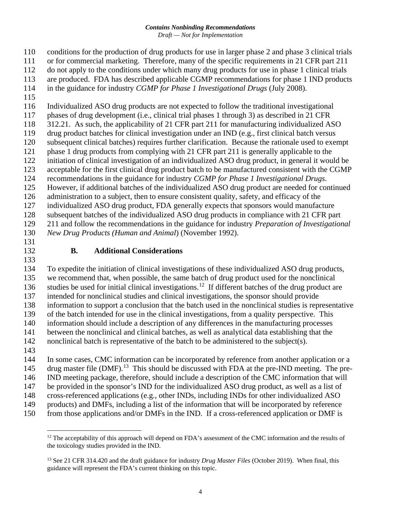- conditions for the production of drug products for use in larger phase 2 and phase 3 clinical trials
- or for commercial marketing. Therefore, many of the specific requirements in 21 CFR part 211
- do not apply to the conditions under which many drug products for use in phase 1 clinical trials
- are produced. FDA has described applicable CGMP recommendations for phase 1 IND products
- in the guidance for industry *CGMP for Phase 1 Investigational Drugs* (July 2008).
- 
- Individualized ASO drug products are not expected to follow the traditional investigational phases of drug development (i.e., clinical trial phases 1 through 3) as described in 21 CFR
- 312.21. As such, the applicability of 21 CFR part 211 for manufacturing individualized ASO
- drug product batches for clinical investigation under an IND (e.g., first clinical batch versus subsequent clinical batches) requires further clarification. Because the rationale used to exempt
- phase 1 drug products from complying with 21 CFR part 211 is generally applicable to the
- initiation of clinical investigation of an individualized ASO drug product, in general it would be
- acceptable for the first clinical drug product batch to be manufactured consistent with the CGMP
- recommendations in the guidance for industry *CGMP for Phase 1 Investigational Drugs*.
- However, if additional batches of the individualized ASO drug product are needed for continued
- 126 administration to a subject, then to ensure consistent quality, safety, and efficacy of the individualized ASO drug product, FDA generally expects that sponsors would manufacture
- subsequent batches of the individualized ASO drug products in compliance with 21 CFR part
- 211 and follow the recommendations in the guidance for industry *Preparation of Investigational*
- *New Drug Products (Human and Animal*) (November 1992).
- 

## **B. Additional Considerations**

 To expedite the initiation of clinical investigations of these individualized ASO drug products, we recommend that, when possible, the same batch of drug product used for the nonclinical 136 studies be used for initial clinical investigations.<sup>[12](#page-6-0)</sup> If different batches of the drug product are intended for nonclinical studies and clinical investigations, the sponsor should provide information to support a conclusion that the batch used in the nonclinical studies is representative of the batch intended for use in the clinical investigations, from a quality perspective. This information should include a description of any differences in the manufacturing processes between the nonclinical and clinical batches, as well as analytical data establishing that the nonclinical batch is representative of the batch to be administered to the subject(s). In some cases, CMC information can be incorporated by reference from another application or a

- 145 drug master file (DMF).<sup>[13](#page-6-1)</sup> This should be discussed with FDA at the pre-IND meeting. The pre-IND meeting package, therefore, should include a description of the CMC information that will
- be provided in the sponsor's IND for the individualized ASO drug product, as well as a list of
- cross-referenced applications (e.g., other INDs, including INDs for other individualized ASO
- products) and DMFs, including a list of the information that will be incorporated by reference
- <span id="page-6-0"></span>from those applications and/or DMFs in the IND. If a cross-referenced application or DMF is

 The acceptability of this approach will depend on FDA's assessment of the CMC information and the results of the toxicology studies provided in the IND.

<span id="page-6-1"></span> See 21 CFR 314.420 and the draft guidance for industry *Drug Master Files* (October 2019). When final, this guidance will represent the FDA's current thinking on this topic.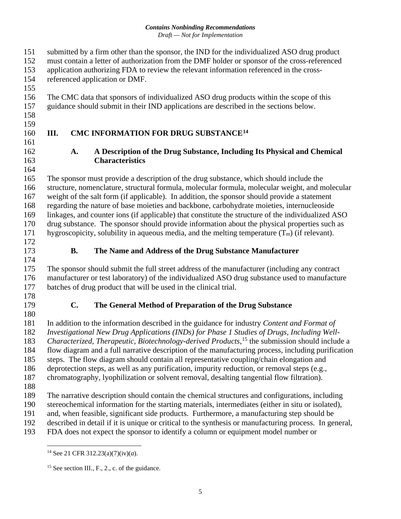- submitted by a firm other than the sponsor, the IND for the individualized ASO drug product
- must contain a letter of authorization from the DMF holder or sponsor of the cross-referenced
- application authorizing FDA to review the relevant information referenced in the cross-
- referenced application or DMF.
- The CMC data that sponsors of individualized ASO drug products within the scope of this
- guidance should submit in their IND applications are described in the sections below.
- 
- 
- 

## 160 **III. CMC INFORMATION FOR DRUG SUBSTANCE<sup>[14](#page-7-0)</sup>**

#### **A. A Description of the Drug Substance, Including Its Physical and Chemical Characteristics**

 The sponsor must provide a description of the drug substance, which should include the structure, nomenclature, structural formula, molecular formula, molecular weight, and molecular weight of the salt form (if applicable). In addition, the sponsor should provide a statement regarding the nature of base moieties and backbone, carbohydrate moieties, internucleoside linkages, and counter ions (if applicable) that constitute the structure of the individualized ASO drug substance. The sponsor should provide information about the physical properties such as 171 hygroscopicity, solubility in aqueous media, and the melting temperature  $(T_m)$  (if relevant).

## **B. The Name and Address of the Drug Substance Manufacturer**

 The sponsor should submit the full street address of the manufacturer (including any contract manufacturer or test laboratory) of the individualized ASO drug substance used to manufacture batches of drug product that will be used in the clinical trial.

## **C. The General Method of Preparation of the Drug Substance**

 In addition to the information described in the guidance for industry *Content and Format of Investigational New Drug Applications (INDs) for Phase 1 Studies of Drugs, Including Well-*183 Characterized, Therapeutic, Biotechnology-derived Products,<sup>[15](#page-7-1)</sup> the submission should include a flow diagram and a full narrative description of the manufacturing process, including purification steps. The flow diagram should contain all representative coupling/chain elongation and deprotection steps, as well as any purification, impurity reduction, or removal steps (e.g., chromatography, lyophilization or solvent removal, desalting tangential flow filtration). The narrative description should contain the chemical structures and configurations, including stereochemical information for the starting materials, intermediates (either in situ or isolated),

and, when feasible, significant side products. Furthermore, a manufacturing step should be

described in detail if it is unique or critical to the synthesis or manufacturing process. In general,

<span id="page-7-1"></span><span id="page-7-0"></span>FDA does not expect the sponsor to identify a column or equipment model number or

See 21 CFR 312.23(a)(7)(iv)(*a*).

<sup>&</sup>lt;sup>15</sup> See section III., F., 2., c. of the guidance.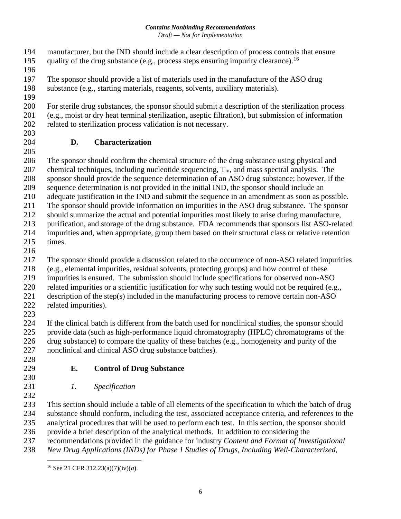- manufacturer, but the IND should include a clear description of process controls that ensure quality of the drug substance (e.g., process steps ensuring impurity clearance).<sup>16</sup>
- 
- The sponsor should provide a list of materials used in the manufacture of the ASO drug
- substance (e.g., starting materials, reagents, solvents, auxiliary materials).
- 

 For sterile drug substances, the sponsor should submit a description of the sterilization process (e.g., moist or dry heat terminal sterilization, aseptic filtration), but submission of information related to sterilization process validation is not necessary.

## **D. Characterization**

 The sponsor should confirm the chemical structure of the drug substance using physical and 207 chemical techniques, including nucleotide sequencing,  $T_m$ , and mass spectral analysis. The sponsor should provide the sequence determination of an ASO drug substance; however, if the sequence determination is not provided in the initial IND, the sponsor should include an adequate justification in the IND and submit the sequence in an amendment as soon as possible. The sponsor should provide information on impurities in the ASO drug substance. The sponsor should summarize the actual and potential impurities most likely to arise during manufacture, purification, and storage of the drug substance. FDA recommends that sponsors list ASO-related impurities and, when appropriate, group them based on their structural class or relative retention times.

The sponsor should provide a discussion related to the occurrence of non-ASO related impurities

- (e.g., elemental impurities, residual solvents, protecting groups) and how control of these
- impurities is ensured. The submission should include specifications for observed non-ASO
- related impurities or a scientific justification for why such testing would not be required (e.g.,
- description of the step(s) included in the manufacturing process to remove certain non-ASO related impurities).
- 

224 If the clinical batch is different from the batch used for nonclinical studies, the sponsor should<br>225 provide data (such as high-performance liquid chromatography (HPLC) chromatograms of the provide data (such as high-performance liquid chromatography (HPLC) chromatograms of the drug substance) to compare the quality of these batches (e.g., homogeneity and purity of the nonclinical and clinical ASO drug substance batches).

- 
- **E. Control of Drug Substance**
- 

*1. Specification*

 This section should include a table of all elements of the specification to which the batch of drug substance should conform, including the test, associated acceptance criteria, and references to the analytical procedures that will be used to perform each test. In this section, the sponsor should provide a brief description of the analytical methods. In addition to considering the

recommendations provided in the guidance for industry *Content and Format of Investigational* 

<span id="page-8-0"></span>*New Drug Applications (INDs) for Phase 1 Studies of Drugs, Including Well-Characterized,*

See 21 CFR 312.23(a)(7)(iv)(*a*).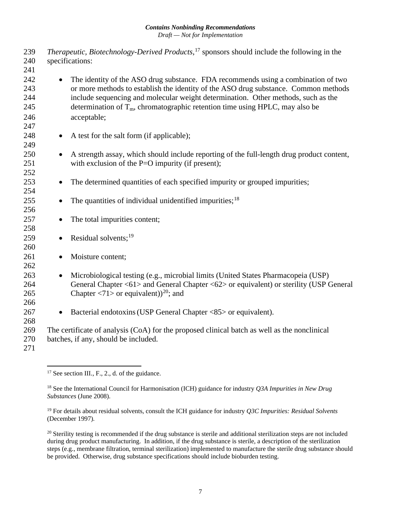239 *Therapeutic, Biotechnology-Derived Products*,<sup>[17](#page-9-0)</sup> sponsors should include the following in the 240 specifications: 241 242 • The identity of the ASO drug substance. FDA recommends using a combination of two 243 or more methods to establish the identity of the ASO drug substance. Common methods 244 include sequencing and molecular weight determination. Other methods, such as the 245 determination of  $T_m$ , chromatographic retention time using HPLC, may also be 246 acceptable; 247 248 • A test for the salt form (if applicable); 249 250 • A strength assay, which should include reporting of the full-length drug product content, 251 with exclusion of the P=O impurity (if present); 252 253 • The determined quantities of each specified impurity or grouped impurities; 254 255 • The quantities of individual unidentified impurities;<sup>[18](#page-9-1)</sup> 256 257 • The total impurities content; 258 259 • Residual solvents;<sup>[19](#page-9-2)</sup> 260 261 • Moisture content; 262 263 • Microbiological testing (e.g., microbial limits (United States Pharmacopeia (USP) 264 General Chapter <61> and General Chapter <62> or equivalent) or sterility (USP General 265 Chapter <71> or equivalent) $^{20}$  $^{20}$  $^{20}$ ; and 266 267 • Bacterial endotoxins (USP General Chapter <85> or equivalent). 268 269 The certificate of analysis (CoA) for the proposed clinical batch as well as the nonclinical 270 batches, if any, should be included. 271

<span id="page-9-0"></span><sup>&</sup>lt;sup>17</sup> See section III., F., 2., d. of the guidance.

<span id="page-9-1"></span><sup>18</sup> See the International Council for Harmonisation (ICH) guidance for industry *Q3A Impurities in New Drug Substances* (June 2008).

<span id="page-9-2"></span><sup>19</sup> For details about residual solvents, consult the ICH guidance for industry *Q3C Impurities: Residual Solvents* (December 1997)*.*

<span id="page-9-3"></span> $20$  Sterility testing is recommended if the drug substance is sterile and additional sterilization steps are not included during drug product manufacturing. In addition, if the drug substance is sterile, a description of the sterilization steps (e.g., membrane filtration, terminal sterilization) implemented to manufacture the sterile drug substance should be provided. Otherwise, drug substance specifications should include bioburden testing.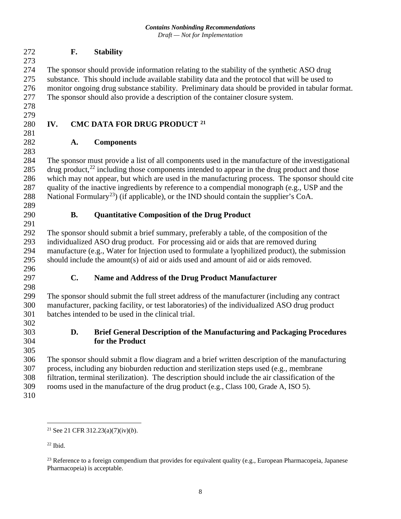#### **F. Stability**

 The sponsor should provide information relating to the stability of the synthetic ASO drug substance. This should include available stability data and the protocol that will be used to monitor ongoing drug substance stability. Preliminary data should be provided in tabular format. The sponsor should also provide a description of the container closure system.

 

## 280 **IV. CMC DATA FOR DRUG PRODUCT** <sup>[21](#page-10-0)</sup>

#### **A. Components**

 The sponsor must provide a list of all components used in the manufacture of the investigational 285 drug product, $^{22}$  $^{22}$  $^{22}$  including those components intended to appear in the drug product and those which may not appear, but which are used in the manufacturing process. The sponsor should cite quality of the inactive ingredients by reference to a compendial monograph (e.g., USP and the 288 National Formulary<sup>[23](#page-10-2)</sup>) (if applicable), or the IND should contain the supplier's CoA.

#### **B. Quantitative Composition of the Drug Product**

 The sponsor should submit a brief summary, preferably a table, of the composition of the individualized ASO drug product. For processing aid or aids that are removed during manufacture (e.g., Water for Injection used to formulate a lyophilized product), the submission should include the amount(s) of aid or aids used and amount of aid or aids removed.

 

#### **C. Name and Address of the Drug Product Manufacturer**

 The sponsor should submit the full street address of the manufacturer (including any contract manufacturer, packing facility, or test laboratories) of the individualized ASO drug product batches intended to be used in the clinical trial.

#### **D. Brief General Description of the Manufacturing and Packaging Procedures for the Product**

 The sponsor should submit a flow diagram and a brief written description of the manufacturing process, including any bioburden reduction and sterilization steps used (e.g., membrane filtration, terminal sterilization). The description should include the air classification of the rooms used in the manufacture of the drug product (e.g., Class 100, Grade A, ISO 5).

<span id="page-10-0"></span>

See 21 CFR 312.23(a)(7)(iv)(*b*).

<span id="page-10-1"></span>Ibid.

<span id="page-10-2"></span><sup>&</sup>lt;sup>23</sup> Reference to a foreign compendium that provides for equivalent quality (e.g., European Pharmacopeia, Japanese Pharmacopeia) is acceptable.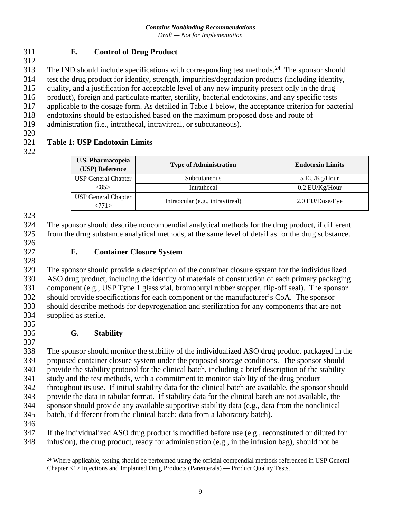#### **E. Control of Drug Product**

313 The IND should include specifications with corresponding test methods.<sup>[24](#page-11-0)</sup> The sponsor should

test the drug product for identity, strength, impurities/degradation products (including identity,

quality, and a justification for acceptable level of any new impurity present only in the drug

product), foreign and particulate matter, sterility, bacterial endotoxins, and any specific tests

applicable to the dosage form. As detailed in Table 1 below, the acceptance criterion for bacterial

- endotoxins should be established based on the maximum proposed dose and route of
- administration (i.e., intrathecal, intravitreal, or subcutaneous).
- 

## **Table 1: USP Endotoxin Limits**

| <b>U.S. Pharmacopeia</b><br>(USP) Reference | <b>Type of Administration</b>    | <b>Endotoxin Limits</b> |
|---------------------------------------------|----------------------------------|-------------------------|
| <b>USP General Chapter</b>                  | Subcutaneous                     | 5 EU/Kg/Hour            |
| <85>                                        | Intrathecal                      | $0.2$ EU/Kg/Hour        |
| <b>USP General Chapter</b><br><771>         | Intraocular (e.g., intravitreal) | 2.0 EU/Dose/Eye         |

#### 

 The sponsor should describe noncompendial analytical methods for the drug product, if different from the drug substance analytical methods, at the same level of detail as for the drug substance.

 

#### **F. Container Closure System**

 The sponsor should provide a description of the container closure system for the individualized ASO drug product, including the identity of materials of construction of each primary packaging component (e.g., USP Type 1 glass vial, bromobutyl rubber stopper, flip-off seal). The sponsor should provide specifications for each component or the manufacturer's CoA. The sponsor should describe methods for depyrogenation and sterilization for any components that are not supplied as sterile.

## **G. Stability**

 The sponsor should monitor the stability of the individualized ASO drug product packaged in the proposed container closure system under the proposed storage conditions. The sponsor should provide the stability protocol for the clinical batch, including a brief description of the stability study and the test methods, with a commitment to monitor stability of the drug product

throughout its use. If initial stability data for the clinical batch are available, the sponsor should

 provide the data in tabular format. If stability data for the clinical batch are not available, the sponsor should provide any available supportive stability data (e.g., data from the nonclinical

batch, if different from the clinical batch; data from a laboratory batch).

<span id="page-11-0"></span> If the individualized ASO drug product is modified before use (e.g., reconstituted or diluted for infusion), the drug product, ready for administration (e.g., in the infusion bag), should not be

<sup>&</sup>lt;sup>24</sup> Where applicable, testing should be performed using the official compendial methods referenced in USP General Chapter <1> Injections and Implanted Drug Products (Parenterals) — Product Quality Tests.